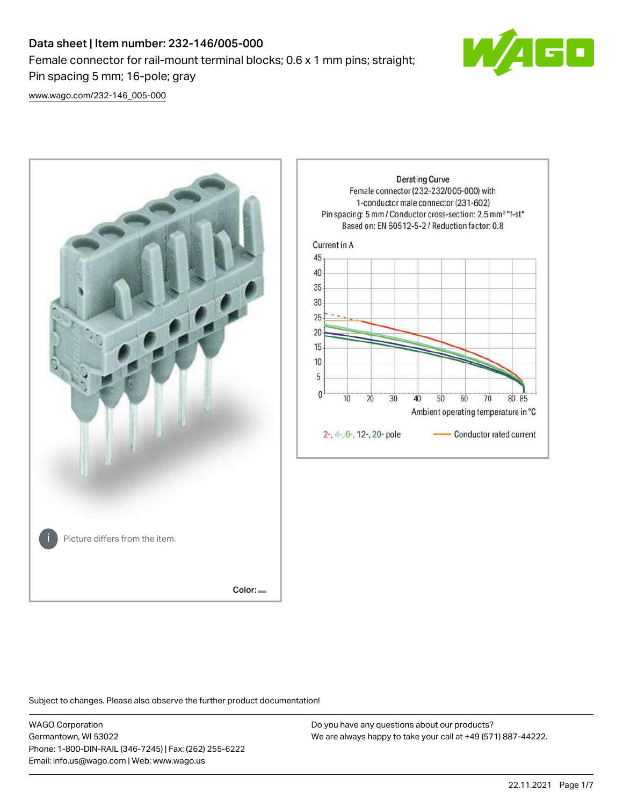# Data sheet | Item number: 232-146/005-000 Female connector for rail-mount terminal blocks; 0.6 x 1 mm pins; straight; Pin spacing 5 mm; 16-pole; gray



[www.wago.com/232-146\\_005-000](http://www.wago.com/232-146_005-000)



Subject to changes. Please also observe the further product documentation!

WAGO Corporation Germantown, WI 53022 Phone: 1-800-DIN-RAIL (346-7245) | Fax: (262) 255-6222 Email: info.us@wago.com | Web: www.wago.us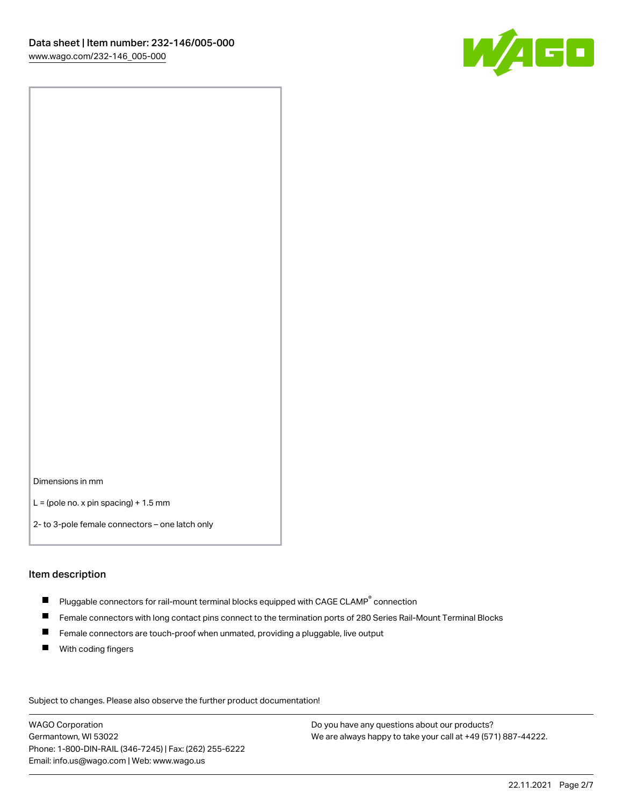

Dimensions in mm

 $L =$  (pole no. x pin spacing) + 1.5 mm

2- to 3-pole female connectors – one latch only

#### Item description

- $\blacksquare$  Pluggable connectors for rail-mount terminal blocks equipped with CAGE CLAMP $^\circ$  connection
- Female connectors with long contact pins connect to the termination ports of 280 Series Rail-Mount Terminal Blocks
- $\blacksquare$ Female connectors are touch-proof when unmated, providing a pluggable, live output
- $\blacksquare$ With coding fingers

Subject to changes. Please also observe the further product documentation! Data

WAGO Corporation Germantown, WI 53022 Phone: 1-800-DIN-RAIL (346-7245) | Fax: (262) 255-6222 Email: info.us@wago.com | Web: www.wago.us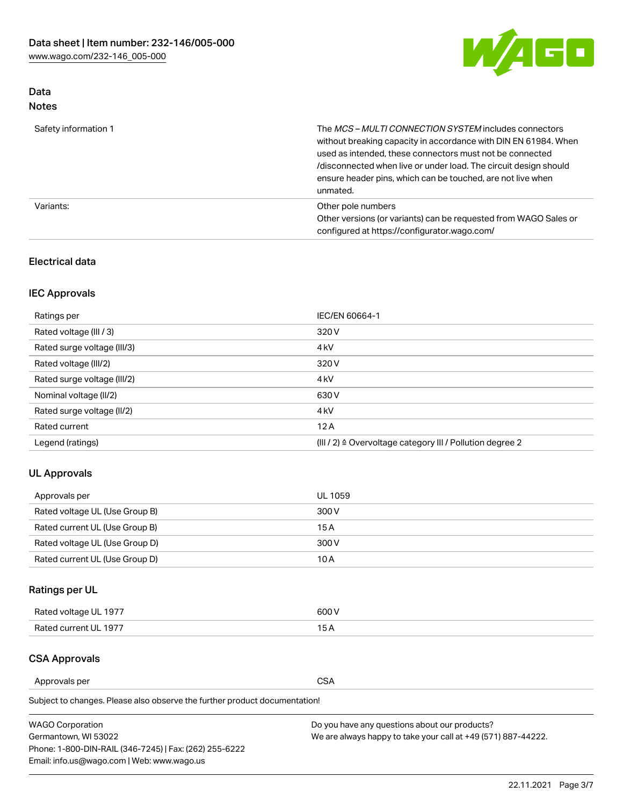

# Data Notes

| Safety information 1 | The MCS-MULTI CONNECTION SYSTEM includes connectors<br>without breaking capacity in accordance with DIN EN 61984. When<br>used as intended, these connectors must not be connected<br>/disconnected when live or under load. The circuit design should<br>ensure header pins, which can be touched, are not live when<br>unmated. |
|----------------------|-----------------------------------------------------------------------------------------------------------------------------------------------------------------------------------------------------------------------------------------------------------------------------------------------------------------------------------|
| Variants:            | Other pole numbers<br>Other versions (or variants) can be requested from WAGO Sales or<br>configured at https://configurator.wago.com/                                                                                                                                                                                            |

# Electrical data

# IEC Approvals

| Ratings per                 | IEC/EN 60664-1                                                        |
|-----------------------------|-----------------------------------------------------------------------|
| Rated voltage (III / 3)     | 320 V                                                                 |
| Rated surge voltage (III/3) | 4 <sub>k</sub> V                                                      |
| Rated voltage (III/2)       | 320 V                                                                 |
| Rated surge voltage (III/2) | 4 <sub>k</sub> V                                                      |
| Nominal voltage (II/2)      | 630 V                                                                 |
| Rated surge voltage (II/2)  | 4 <sub>k</sub> V                                                      |
| Rated current               | 12A                                                                   |
| Legend (ratings)            | $(III / 2)$ $\triangle$ Overvoltage category III / Pollution degree 2 |

# UL Approvals

| Approvals per                  | UL 1059 |
|--------------------------------|---------|
| Rated voltage UL (Use Group B) | 300 V   |
| Rated current UL (Use Group B) | 15 A    |
| Rated voltage UL (Use Group D) | 300 V   |
| Rated current UL (Use Group D) | 10 A    |

# Ratings per UL

| Rated voltage UL 1977 | 300 V |
|-----------------------|-------|
| Rated current UL 1977 |       |

## CSA Approvals

Approvals per CSA

Subject to changes. Please also observe the further product documentation!

| <b>WAGO Corporation</b>                                | Do you have any questions about our products?                 |
|--------------------------------------------------------|---------------------------------------------------------------|
| Germantown, WI 53022                                   | We are always happy to take your call at +49 (571) 887-44222. |
| Phone: 1-800-DIN-RAIL (346-7245)   Fax: (262) 255-6222 |                                                               |
| Email: info.us@wago.com   Web: www.wago.us             |                                                               |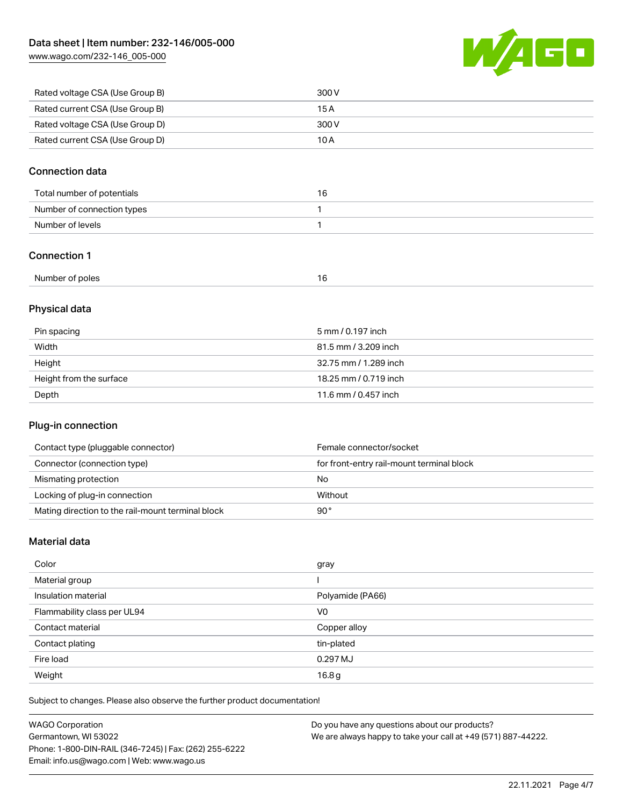[www.wago.com/232-146\\_005-000](http://www.wago.com/232-146_005-000)



| Rated voltage CSA (Use Group B) | 300 V |
|---------------------------------|-------|
| Rated current CSA (Use Group B) | 15 A  |
| Rated voltage CSA (Use Group D) | 300 V |
| Rated current CSA (Use Group D) | 10 A  |

# Connection data

| Total number of potentials | ۱ь. |
|----------------------------|-----|
| Number of connection types |     |
| Number of levels           |     |

## Connection 1

| Number of poles<br>. .<br>$\sim$<br>$\sim$ |  |
|--------------------------------------------|--|
|--------------------------------------------|--|

# Physical data

| Pin spacing             | 5 mm / 0.197 inch     |
|-------------------------|-----------------------|
| Width                   | 81.5 mm / 3.209 inch  |
| Height                  | 32.75 mm / 1.289 inch |
| Height from the surface | 18.25 mm / 0.719 inch |
| Depth                   | 11.6 mm / 0.457 inch  |

# Plug-in connection

| Contact type (pluggable connector)                | Female connector/socket                   |
|---------------------------------------------------|-------------------------------------------|
| Connector (connection type)                       | for front-entry rail-mount terminal block |
| Mismating protection                              | No                                        |
| Locking of plug-in connection                     | Without                                   |
| Mating direction to the rail-mount terminal block | 90°                                       |

# Material data

| Color                       | gray             |
|-----------------------------|------------------|
| Material group              |                  |
| Insulation material         | Polyamide (PA66) |
| Flammability class per UL94 | V <sub>0</sub>   |
| Contact material            | Copper alloy     |
| Contact plating             | tin-plated       |
| Fire load                   | 0.297 MJ         |
| Weight                      | 16.8g            |

Subject to changes. Please also observe the further product documentation!

| <b>WAGO Corporation</b>                                | Do you have any questions about our products?                 |
|--------------------------------------------------------|---------------------------------------------------------------|
| Germantown, WI 53022                                   | We are always happy to take your call at +49 (571) 887-44222. |
| Phone: 1-800-DIN-RAIL (346-7245)   Fax: (262) 255-6222 |                                                               |
| Email: info.us@wago.com   Web: www.wago.us             |                                                               |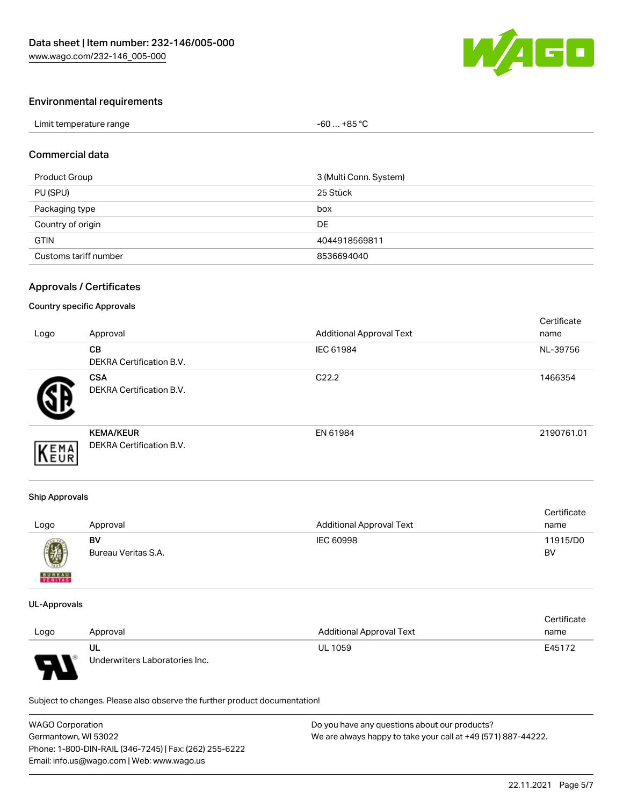

# Environmental requirements

| Limit temperature range | $-60+85 °C$ |
|-------------------------|-------------|
|-------------------------|-------------|

## Commercial data

| Product Group         | 3 (Multi Conn. System) |
|-----------------------|------------------------|
| PU (SPU)              | 25 Stück               |
| Packaging type        | box                    |
| Country of origin     | DE                     |
| <b>GTIN</b>           | 4044918569811          |
| Customs tariff number | 8536694040             |

# Approvals / Certificates

#### Country specific Approvals

| Logo | Approval                                            | <b>Additional Approval Text</b> | Certificate<br>name |
|------|-----------------------------------------------------|---------------------------------|---------------------|
|      | <b>CB</b><br><b>DEKRA Certification B.V.</b>        | IEC 61984                       | NL-39756            |
|      | <b>CSA</b><br>DEKRA Certification B.V.              | C <sub>22.2</sub>               | 1466354             |
| EMA  | <b>KEMA/KEUR</b><br><b>DEKRA Certification B.V.</b> | EN 61984                        | 2190761.01          |

#### Ship Approvals

| Logo                                                                                                                                                                                                                                                                                                                                                                                                                                                                                | Approval            | <b>Additional Approval Text</b> | Certificate<br>name |
|-------------------------------------------------------------------------------------------------------------------------------------------------------------------------------------------------------------------------------------------------------------------------------------------------------------------------------------------------------------------------------------------------------------------------------------------------------------------------------------|---------------------|---------------------------------|---------------------|
| $\bigcirc\!\!\!\!\! \bigcirc\!\!\!\!\! \bigcirc\!\!\!\!\! \bigcirc\!\!\!\!\! \bigcirc\!\!\!\!\! \bigcirc\!\!\!\!\! \bigcirc\!\!\!\!\! \bigcirc\!\!\!\!\! \bigcirc\!\!\!\!\! \bigcirc\!\!\!\!\! \bigcirc\!\!\!\!\! \bigcirc\!\!\!\!\! \bigcirc\!\!\!\!\! \bigcirc\!\!\!\!\! \bigcirc\!\!\!\!\! \bigcirc\!\!\!\!\! \bigcirc\!\!\!\!\! \bigcirc\!\!\!\!\! \bigcirc\!\!\!\!\! \bigcirc\!\!\!\!\! \bigcirc\!\!\!\!\! \bigcirc\!\!\!\!\! \bigcirc\!\!\!\!\! \bigcirc\!\!\!\!\! \bigcirc\$ | BV                  | IEC 60998                       | 11915/D0            |
| <b>BUREAU</b>                                                                                                                                                                                                                                                                                                                                                                                                                                                                       | Bureau Veritas S.A. |                                 | BV                  |

#### UL-Approvals

|      |                                |                                 | Certificate |
|------|--------------------------------|---------------------------------|-------------|
| Logo | Approval                       | <b>Additional Approval Text</b> | name        |
|      | UL                             | <b>UL 1059</b>                  | E45172      |
| L    | Underwriters Laboratories Inc. |                                 |             |

Subject to changes. Please also observe the further product documentation!

| <b>WAGO Corporation</b>                                | Do you have any questions about our products?                 |
|--------------------------------------------------------|---------------------------------------------------------------|
| Germantown, WI 53022                                   | We are always happy to take your call at +49 (571) 887-44222. |
| Phone: 1-800-DIN-RAIL (346-7245)   Fax: (262) 255-6222 |                                                               |
| Email: info.us@wago.com   Web: www.wago.us             |                                                               |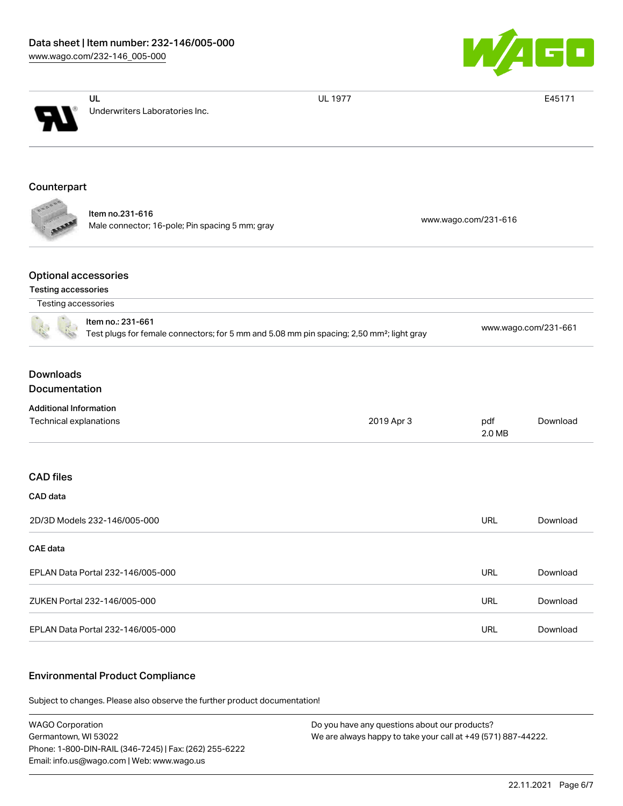

|                                                                                                                            | UL                                                                 | <b>UL 1977</b> |                      | E45171   |  |
|----------------------------------------------------------------------------------------------------------------------------|--------------------------------------------------------------------|----------------|----------------------|----------|--|
|                                                                                                                            | Underwriters Laboratories Inc.                                     |                |                      |          |  |
| Counterpart                                                                                                                |                                                                    |                |                      |          |  |
|                                                                                                                            |                                                                    |                |                      |          |  |
|                                                                                                                            | Item no.231-616<br>Male connector; 16-pole; Pin spacing 5 mm; gray |                | www.wago.com/231-616 |          |  |
| <b>Optional accessories</b>                                                                                                |                                                                    |                |                      |          |  |
| <b>Testing accessories</b>                                                                                                 |                                                                    |                |                      |          |  |
| Testing accessories                                                                                                        |                                                                    |                |                      |          |  |
| Item no.: 231-661<br>Test plugs for female connectors; for 5 mm and 5.08 mm pin spacing; 2,50 mm <sup>2</sup> ; light gray |                                                                    |                | www.wago.com/231-661 |          |  |
| <b>Downloads</b><br>Documentation                                                                                          |                                                                    |                |                      |          |  |
| <b>Additional Information</b>                                                                                              |                                                                    |                |                      |          |  |
| Technical explanations                                                                                                     |                                                                    | 2019 Apr 3     | pdf<br>2.0 MB        | Download |  |
| <b>CAD</b> files                                                                                                           |                                                                    |                |                      |          |  |
| CAD data                                                                                                                   |                                                                    |                |                      |          |  |
|                                                                                                                            | 2D/3D Models 232-146/005-000                                       |                | <b>URL</b>           | Download |  |
| CAE data                                                                                                                   |                                                                    |                |                      |          |  |
|                                                                                                                            | EPLAN Data Portal 232-146/005-000                                  |                | <b>URL</b>           | Download |  |
|                                                                                                                            | ZUKEN Portal 232-146/005-000                                       |                | <b>URL</b>           | Download |  |
|                                                                                                                            | EPLAN Data Portal 232-146/005-000                                  |                | <b>URL</b>           | Download |  |

## Environmental Product Compliance

Subject to changes. Please also observe the further product documentation!

WAGO Corporation Germantown, WI 53022 Phone: 1-800-DIN-RAIL (346-7245) | Fax: (262) 255-6222 Email: info.us@wago.com | Web: www.wago.us